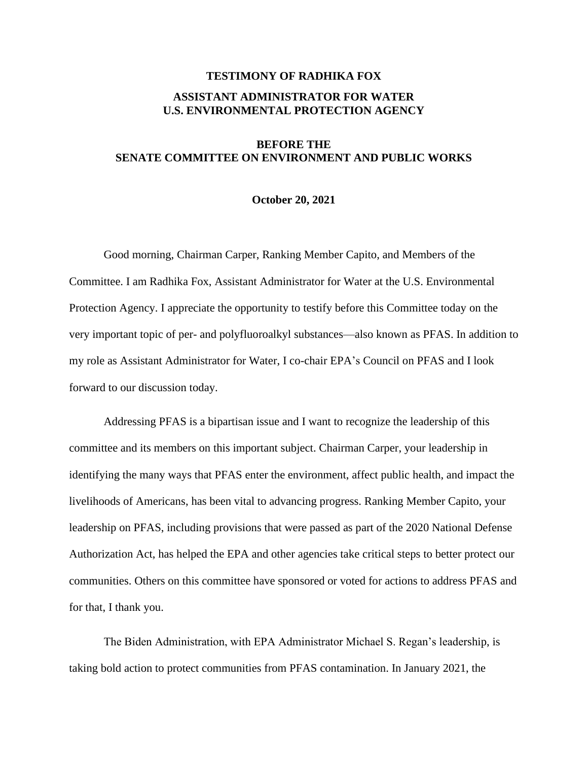## **TESTIMONY OF RADHIKA FOX ASSISTANT ADMINISTRATOR FOR WATER U.S. ENVIRONMENTAL PROTECTION AGENCY**

## **BEFORE THE SENATE COMMITTEE ON ENVIRONMENT AND PUBLIC WORKS**

## **October 20, 2021**

Good morning, Chairman Carper, Ranking Member Capito, and Members of the Committee. I am Radhika Fox, Assistant Administrator for Water at the U.S. Environmental Protection Agency. I appreciate the opportunity to testify before this Committee today on the very important topic of per- and polyfluoroalkyl substances—also known as PFAS. In addition to my role as Assistant Administrator for Water, I co-chair EPA's Council on PFAS and I look forward to our discussion today.

Addressing PFAS is a bipartisan issue and I want to recognize the leadership of this committee and its members on this important subject. Chairman Carper, your leadership in identifying the many ways that PFAS enter the environment, affect public health, and impact the livelihoods of Americans, has been vital to advancing progress. Ranking Member Capito, your leadership on PFAS, including provisions that were passed as part of the 2020 National Defense Authorization Act, has helped the EPA and other agencies take critical steps to better protect our communities. Others on this committee have sponsored or voted for actions to address PFAS and for that, I thank you.

The Biden Administration, with EPA Administrator Michael S. Regan's leadership, is taking bold action to protect communities from PFAS contamination. In January 2021, the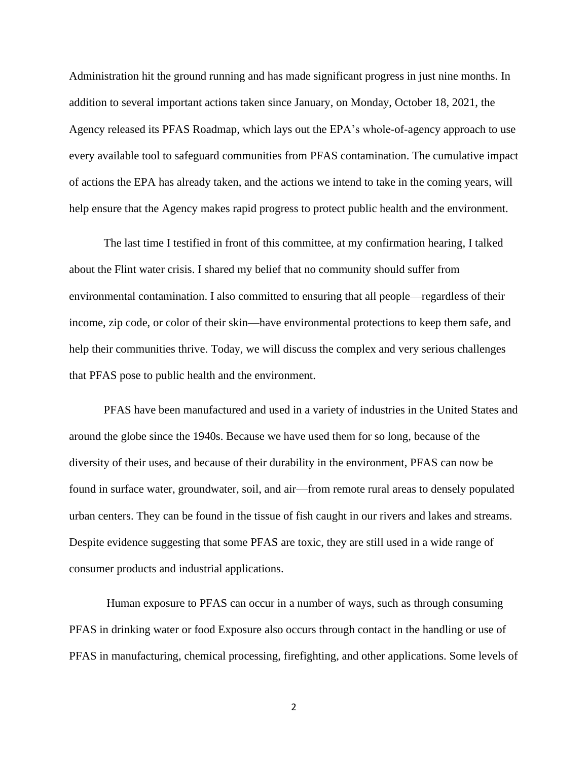Administration hit the ground running and has made significant progress in just nine months. In addition to several important actions taken since January, on Monday, October 18, 2021, the Agency released its PFAS Roadmap, which lays out the EPA's whole-of-agency approach to use every available tool to safeguard communities from PFAS contamination. The cumulative impact of actions the EPA has already taken, and the actions we intend to take in the coming years, will help ensure that the Agency makes rapid progress to protect public health and the environment.

The last time I testified in front of this committee, at my confirmation hearing, I talked about the Flint water crisis. I shared my belief that no community should suffer from environmental contamination. I also committed to ensuring that all people—regardless of their income, zip code, or color of their skin—have environmental protections to keep them safe, and help their communities thrive. Today, we will discuss the complex and very serious challenges that PFAS pose to public health and the environment.

PFAS have been manufactured and used in a variety of industries in the United States and around the globe since the 1940s. Because we have used them for so long, because of the diversity of their uses, and because of their durability in the environment, PFAS can now be found in surface water, groundwater, soil, and air—from remote rural areas to densely populated urban centers. They can be found in the tissue of fish caught in our rivers and lakes and streams. Despite evidence suggesting that some PFAS are toxic, they are still used in a wide range of consumer products and industrial applications.

Human exposure to PFAS can occur in a number of ways, such as through consuming PFAS in drinking water or food Exposure also occurs through contact in the handling or use of PFAS in manufacturing, chemical processing, firefighting, and other applications. Some levels of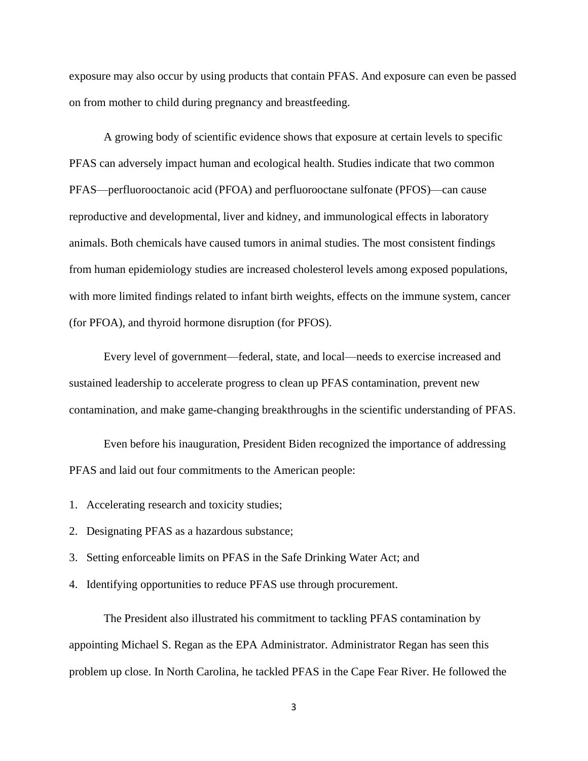exposure may also occur by using products that contain PFAS. And exposure can even be passed on from mother to child during pregnancy and breastfeeding.

A growing body of scientific evidence shows that exposure at certain levels to specific PFAS can adversely impact human and ecological health. Studies indicate that two common PFAS—perfluorooctanoic acid (PFOA) and perfluorooctane sulfonate (PFOS)—can cause reproductive and developmental, liver and kidney, and immunological effects in laboratory animals. Both chemicals have caused tumors in animal studies. The most consistent findings from human epidemiology studies are increased cholesterol levels among exposed populations, with more limited findings related to infant birth weights, effects on the immune system, cancer (for PFOA), and thyroid hormone disruption (for PFOS).

Every level of government—federal, state, and local—needs to exercise increased and sustained leadership to accelerate progress to clean up PFAS contamination, prevent new contamination, and make game-changing breakthroughs in the scientific understanding of PFAS.

Even before his inauguration, President Biden recognized the importance of addressing PFAS and laid out four commitments to the American people:

- 1. Accelerating research and toxicity studies;
- 2. Designating PFAS as a hazardous substance;
- 3. Setting enforceable limits on PFAS in the Safe Drinking Water Act; and
- 4. Identifying opportunities to reduce PFAS use through procurement.

The President also illustrated his commitment to tackling PFAS contamination by appointing Michael S. Regan as the EPA Administrator. Administrator Regan has seen this problem up close. In North Carolina, he tackled PFAS in the Cape Fear River. He followed the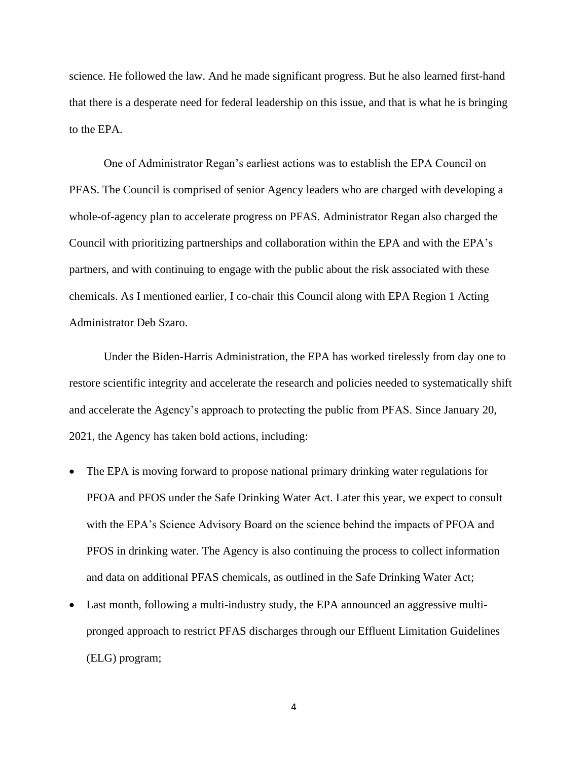science. He followed the law. And he made significant progress. But he also learned first-hand that there is a desperate need for federal leadership on this issue, and that is what he is bringing to the EPA.

One of Administrator Regan's earliest actions was to establish the EPA Council on PFAS. The Council is comprised of senior Agency leaders who are charged with developing a whole-of-agency plan to accelerate progress on PFAS. Administrator Regan also charged the Council with prioritizing partnerships and collaboration within the EPA and with the EPA's partners, and with continuing to engage with the public about the risk associated with these chemicals. As I mentioned earlier, I co-chair this Council along with EPA Region 1 Acting Administrator Deb Szaro.

Under the Biden-Harris Administration, the EPA has worked tirelessly from day one to restore scientific integrity and accelerate the research and policies needed to systematically shift and accelerate the Agency's approach to protecting the public from PFAS. Since January 20, 2021, the Agency has taken bold actions, including:

- The EPA is moving forward to propose national primary drinking water regulations for PFOA and PFOS under the Safe Drinking Water Act. Later this year, we expect to consult with the EPA's Science Advisory Board on the science behind the impacts of PFOA and PFOS in drinking water. The Agency is also continuing the process to collect information and data on additional PFAS chemicals, as outlined in the Safe Drinking Water Act;
- Last month, following a multi-industry study, the EPA announced an aggressive multipronged approach to restrict PFAS discharges through our Effluent Limitation Guidelines (ELG) program;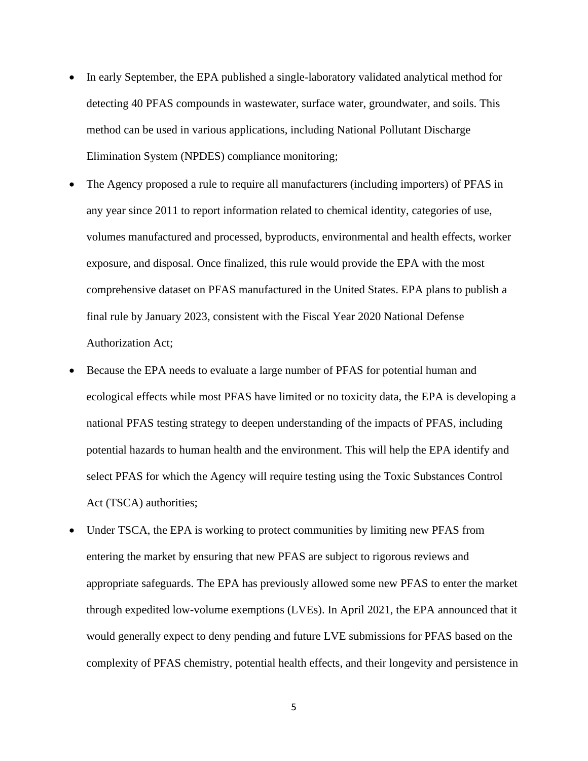- In early September, the EPA published a single-laboratory validated analytical method for detecting 40 PFAS compounds in wastewater, surface water, groundwater, and soils. This method can be used in various applications, including National Pollutant Discharge Elimination System (NPDES) compliance monitoring;
- The Agency proposed a rule to require all manufacturers (including importers) of PFAS in any year since 2011 to report information related to chemical identity, categories of use, volumes manufactured and processed, byproducts, environmental and health effects, worker exposure, and disposal. Once finalized, this rule would provide the EPA with the most comprehensive dataset on PFAS manufactured in the United States. EPA plans to publish a final rule by January 2023, consistent with the Fiscal Year 2020 National Defense Authorization Act;
- Because the EPA needs to evaluate a large number of PFAS for potential human and ecological effects while most PFAS have limited or no toxicity data, the EPA is developing a national PFAS testing strategy to deepen understanding of the impacts of PFAS, including potential hazards to human health and the environment. This will help the EPA identify and select PFAS for which the Agency will require testing using the Toxic Substances Control Act (TSCA) authorities;
- Under TSCA, the EPA is working to protect communities by limiting new PFAS from entering the market by ensuring that new PFAS are subject to rigorous reviews and appropriate safeguards. The EPA has previously allowed some new PFAS to enter the market through expedited low-volume exemptions (LVEs). In April 2021, the EPA announced that it would generally expect to deny pending and future LVE submissions for PFAS based on the complexity of PFAS chemistry, potential health effects, and their longevity and persistence in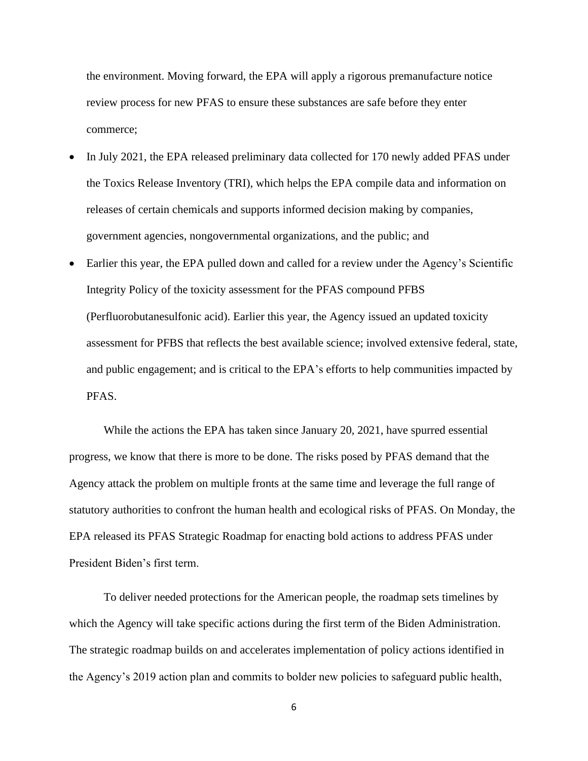the environment. Moving forward, the EPA will apply a rigorous premanufacture notice review process for new PFAS to ensure these substances are safe before they enter commerce;

- In July 2021, the EPA released preliminary data collected for 170 newly added PFAS under the Toxics Release Inventory (TRI), which helps the EPA compile data and information on releases of certain chemicals and supports informed decision making by companies, government agencies, nongovernmental organizations, and the public; and
- Earlier this year, the EPA pulled down and called for a review under the Agency's Scientific Integrity Policy of the toxicity assessment for the PFAS compound PFBS (Perfluorobutanesulfonic acid). Earlier this year, the Agency issued an updated toxicity assessment for PFBS that reflects the best available science; involved extensive federal, state, and public engagement; and is critical to the EPA's efforts to help communities impacted by PFAS.

While the actions the EPA has taken since January 20, 2021, have spurred essential progress, we know that there is more to be done. The risks posed by PFAS demand that the Agency attack the problem on multiple fronts at the same time and leverage the full range of statutory authorities to confront the human health and ecological risks of PFAS. On Monday, the EPA released its PFAS Strategic Roadmap for enacting bold actions to address PFAS under President Biden's first term.

To deliver needed protections for the American people, the roadmap sets timelines by which the Agency will take specific actions during the first term of the Biden Administration. The strategic roadmap builds on and accelerates implementation of policy actions identified in the Agency's 2019 action plan and commits to bolder new policies to safeguard public health,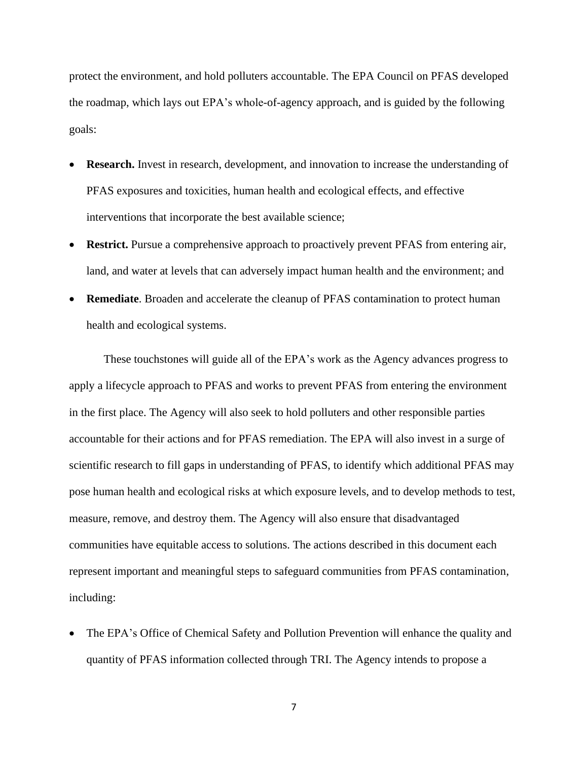protect the environment, and hold polluters accountable. The EPA Council on PFAS developed the roadmap, which lays out EPA's whole-of-agency approach, and is guided by the following goals:

- **Research.** Invest in research, development, and innovation to increase the understanding of PFAS exposures and toxicities, human health and ecological effects, and effective interventions that incorporate the best available science;
- **Restrict.** Pursue a comprehensive approach to proactively prevent PFAS from entering air, land, and water at levels that can adversely impact human health and the environment; and
- **Remediate.** Broaden and accelerate the cleanup of PFAS contamination to protect human health and ecological systems.

These touchstones will guide all of the EPA's work as the Agency advances progress to apply a lifecycle approach to PFAS and works to prevent PFAS from entering the environment in the first place. The Agency will also seek to hold polluters and other responsible parties accountable for their actions and for PFAS remediation. The EPA will also invest in a surge of scientific research to fill gaps in understanding of PFAS, to identify which additional PFAS may pose human health and ecological risks at which exposure levels, and to develop methods to test, measure, remove, and destroy them. The Agency will also ensure that disadvantaged communities have equitable access to solutions. The actions described in this document each represent important and meaningful steps to safeguard communities from PFAS contamination, including:

• The EPA's Office of Chemical Safety and Pollution Prevention will enhance the quality and quantity of PFAS information collected through TRI. The Agency intends to propose a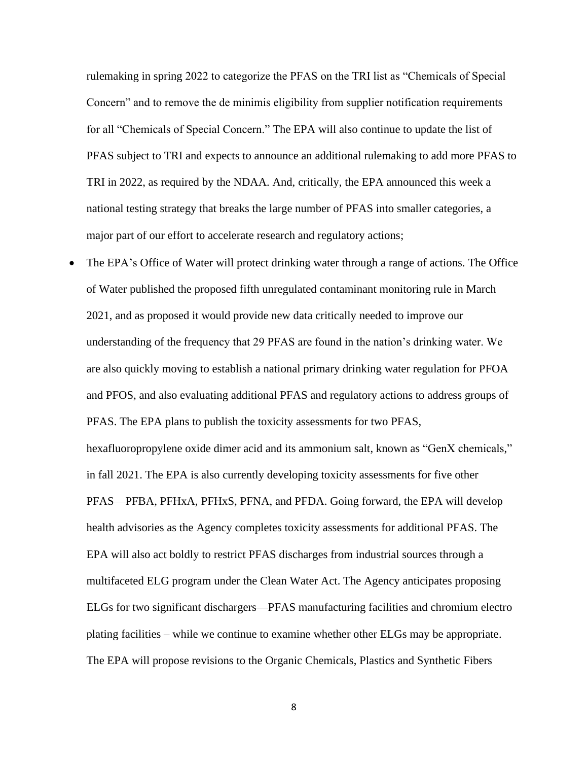rulemaking in spring 2022 to categorize the PFAS on the TRI list as "Chemicals of Special Concern" and to remove the de minimis eligibility from supplier notification requirements for all "Chemicals of Special Concern." The EPA will also continue to update the list of PFAS subject to TRI and expects to announce an additional rulemaking to add more PFAS to TRI in 2022, as required by the NDAA. And, critically, the EPA announced this week a national testing strategy that breaks the large number of PFAS into smaller categories, a major part of our effort to accelerate research and regulatory actions;

• The EPA's Office of Water will protect drinking water through a range of actions. The Office of Water published the proposed fifth unregulated contaminant monitoring rule in March 2021, and as proposed it would provide new data critically needed to improve our understanding of the frequency that 29 PFAS are found in the nation's drinking water. We are also quickly moving to establish a national primary drinking water regulation for PFOA and PFOS, and also evaluating additional PFAS and regulatory actions to address groups of PFAS. The EPA plans to publish the toxicity assessments for two PFAS, hexafluoropropylene oxide dimer acid and its ammonium salt, known as "GenX chemicals," in fall 2021. The EPA is also currently developing toxicity assessments for five other PFAS—PFBA, PFHxA, PFHxS, PFNA, and PFDA. Going forward, the EPA will develop health advisories as the Agency completes toxicity assessments for additional PFAS. The EPA will also act boldly to restrict PFAS discharges from industrial sources through a multifaceted ELG program under the Clean Water Act. The Agency anticipates proposing ELGs for two significant dischargers—PFAS manufacturing facilities and chromium electro plating facilities – while we continue to examine whether other ELGs may be appropriate. The EPA will propose revisions to the Organic Chemicals, Plastics and Synthetic Fibers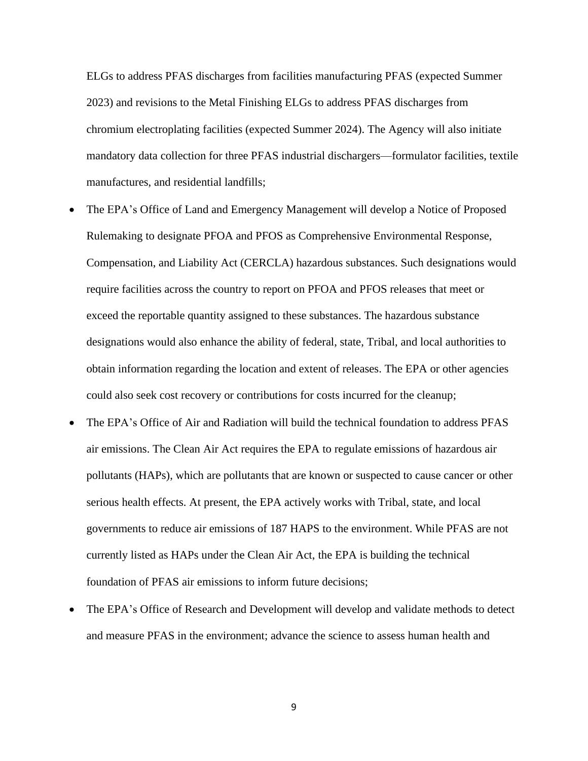ELGs to address PFAS discharges from facilities manufacturing PFAS (expected Summer 2023) and revisions to the Metal Finishing ELGs to address PFAS discharges from chromium electroplating facilities (expected Summer 2024). The Agency will also initiate mandatory data collection for three PFAS industrial dischargers—formulator facilities, textile manufactures, and residential landfills;

- The EPA's Office of Land and Emergency Management will develop a Notice of Proposed Rulemaking to designate PFOA and PFOS as Comprehensive Environmental Response, Compensation, and Liability Act (CERCLA) hazardous substances. Such designations would require facilities across the country to report on PFOA and PFOS releases that meet or exceed the reportable quantity assigned to these substances. The hazardous substance designations would also enhance the ability of federal, state, Tribal, and local authorities to obtain information regarding the location and extent of releases. The EPA or other agencies could also seek cost recovery or contributions for costs incurred for the cleanup;
- The EPA's Office of Air and Radiation will build the technical foundation to address PFAS air emissions. The Clean Air Act requires the EPA to regulate emissions of hazardous air pollutants (HAPs), which are pollutants that are known or suspected to cause cancer or other serious health effects. At present, the EPA actively works with Tribal, state, and local governments to reduce air emissions of 187 HAPS to the environment. While PFAS are not currently listed as HAPs under the Clean Air Act, the EPA is building the technical foundation of PFAS air emissions to inform future decisions;
- The EPA's Office of Research and Development will develop and validate methods to detect and measure PFAS in the environment; advance the science to assess human health and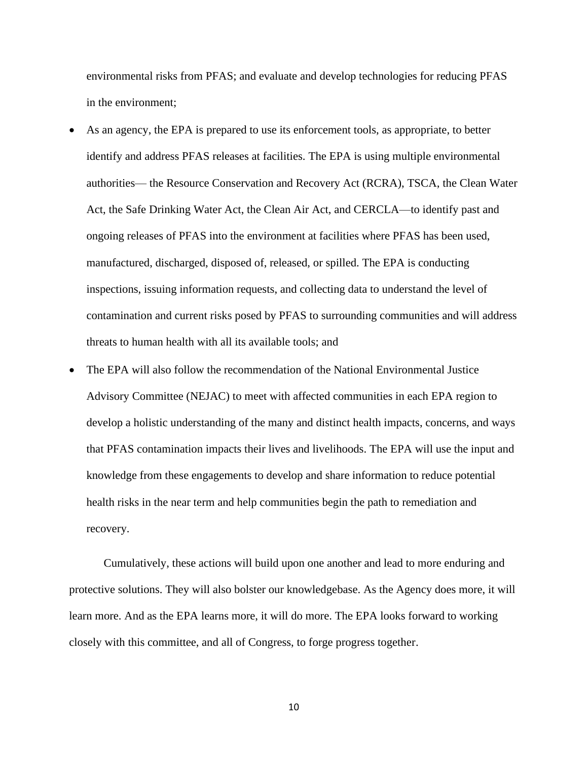environmental risks from PFAS; and evaluate and develop technologies for reducing PFAS in the environment;

- As an agency, the EPA is prepared to use its enforcement tools, as appropriate, to better identify and address PFAS releases at facilities. The EPA is using multiple environmental authorities— the Resource Conservation and Recovery Act (RCRA), TSCA, the Clean Water Act, the Safe Drinking Water Act, the Clean Air Act, and CERCLA—to identify past and ongoing releases of PFAS into the environment at facilities where PFAS has been used, manufactured, discharged, disposed of, released, or spilled. The EPA is conducting inspections, issuing information requests, and collecting data to understand the level of contamination and current risks posed by PFAS to surrounding communities and will address threats to human health with all its available tools; and
- The EPA will also follow the recommendation of the National Environmental Justice Advisory Committee (NEJAC) to meet with affected communities in each EPA region to develop a holistic understanding of the many and distinct health impacts, concerns, and ways that PFAS contamination impacts their lives and livelihoods. The EPA will use the input and knowledge from these engagements to develop and share information to reduce potential health risks in the near term and help communities begin the path to remediation and recovery.

Cumulatively, these actions will build upon one another and lead to more enduring and protective solutions. They will also bolster our knowledgebase. As the Agency does more, it will learn more. And as the EPA learns more, it will do more. The EPA looks forward to working closely with this committee, and all of Congress, to forge progress together.